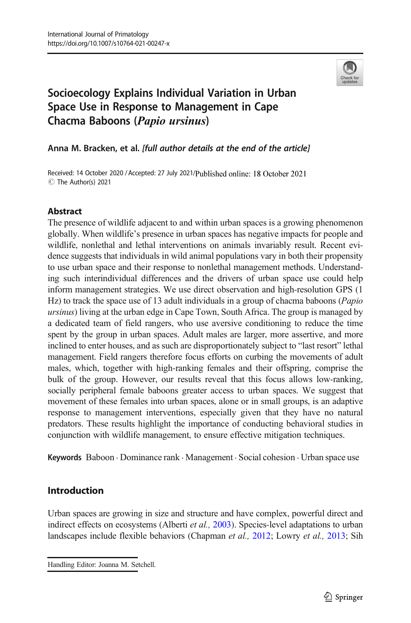

# Socioecology Explains Individual Variation in Urban Space Use in Response to Management in Cape Chacma Baboons (Papio ursinus)

Anna M. Bracken, et al. [full author details at the end of the article]

Received: 14 October 2020 / Accepted: 27 July 2021/Published online: 18 October 2021 C The Author(s) 2021

# **Abstract**

The presence of wildlife adjacent to and within urban spaces is a growing phenomenon globally. When wildlife's presence in urban spaces has negative impacts for people and wildlife, nonlethal and lethal interventions on animals invariably result. Recent evidence suggests that individuals in wild animal populations vary in both their propensity to use urban space and their response to nonlethal management methods. Understanding such interindividual differences and the drivers of urban space use could help inform management strategies. We use direct observation and high-resolution GPS (1 Hz) to track the space use of 13 adult individuals in a group of chacma baboons (Papio ursinus) living at the urban edge in Cape Town, South Africa. The group is managed by a dedicated team of field rangers, who use aversive conditioning to reduce the time spent by the group in urban spaces. Adult males are larger, more assertive, and more inclined to enter houses, and as such are disproportionately subject to "last resort" lethal management. Field rangers therefore focus efforts on curbing the movements of adult males, which, together with high-ranking females and their offspring, comprise the bulk of the group. However, our results reveal that this focus allows low-ranking, socially peripheral female baboons greater access to urban spaces. We suggest that movement of these females into urban spaces, alone or in small groups, is an adaptive response to management interventions, especially given that they have no natural predators. These results highlight the importance of conducting behavioral studies in conjunction with wildlife management, to ensure effective mitigation techniques.

Keywords Baboon . Dominance rank . Management . Social cohesion . Urban space use

# Introduction

Urban spaces are growing in size and structure and have complex, powerful direct and indirect effects on ecosystems (Alberti et al., [2003](#page-12-0)). Species-level adaptations to urban landscapes include flexible behaviors (Chapman et al., [2012;](#page-13-0) Lowry et al., [2013;](#page-15-0) Sih

Handling Editor: Joanna M. Setchell.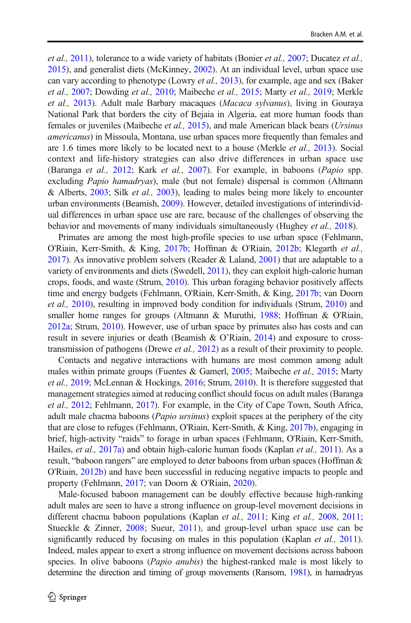et al., [2011\)](#page-16-0), tolerance to a wide variety of habitats (Bonier et al., [2007](#page-13-0); Ducatez et al., [2015\)](#page-13-0), and generalist diets (McKinney, [2002\)](#page-15-0). At an individual level, urban space use can vary according to phenotype (Lowry *et al.*, [2013](#page-15-0)), for example, age and sex (Baker et al., [2007;](#page-12-0) Dowding et al., [2010;](#page-13-0) Maibeche et al., [2015;](#page-15-0) Marty et al., [2019;](#page-15-0) Merkle et al., [2013](#page-15-0)). Adult male Barbary macaques (Macaca sylvanus), living in Gouraya National Park that borders the city of Bejaia in Algeria, eat more human foods than females or juveniles (Maibeche et al., [2015](#page-15-0)), and male American black bears (Ursinus americanus) in Missoula, Montana, use urban spaces more frequently than females and are 1.6 times more likely to be located next to a house (Merkle et al., [2013](#page-15-0)). Social context and life-history strategies can also drive differences in urban space use (Baranga et al., [2012;](#page-12-0) Kark et al., [2007](#page-14-0)). For example, in baboons (Papio spp. excluding *Papio hamadryas*), male (but not female) dispersal is common (Altmann & Alberts,  $2003$ ; Silk *et al.*,  $2003$ ), leading to males being more likely to encounter urban environments (Beamish, [2009](#page-12-0)). However, detailed investigations of interindividual differences in urban space use are rare, because of the challenges of observing the behavior and movements of many individuals simultaneously (Hughey et al., [2018](#page-14-0)).

Primates are among the most high-profile species to use urban space (Fehlmann, O'Riain, Kerr-Smith, & King, [2017b;](#page-13-0) Hoffman & O'Riain, [2012b;](#page-14-0) Klegarth et al., [2017\)](#page-14-0). As innovative problem solvers (Reader & Laland, [2001](#page-15-0)) that are adaptable to a variety of environments and diets (Swedell, [2011\)](#page-16-0), they can exploit high-calorie human crops, foods, and waste (Strum, [2010\)](#page-16-0). This urban foraging behavior positively affects time and energy budgets (Fehlmann, O'Riain, Kerr-Smith, & King, [2017b;](#page-13-0) van Doorn et al., [2010](#page-16-0)), resulting in improved body condition for individuals (Strum, [2010\)](#page-16-0) and smaller home ranges for groups (Altmann & Muruthi, [1988;](#page-12-0) Hoffman & O'Riain, [2012a;](#page-14-0) Strum, [2010\)](#page-16-0). However, use of urban space by primates also has costs and can result in severe injuries or death (Beamish & O'Riain, [2014\)](#page-12-0) and exposure to crosstransmission of pathogens (Drewe *et al.*, [2012\)](#page-13-0) as a result of their proximity to people.

Contacts and negative interactions with humans are most common among adult males within primate groups (Fuentes & Gamerl, [2005](#page-13-0); Maibeche *et al.*, [2015;](#page-15-0) Marty et al., [2019;](#page-15-0) McLennan & Hockings, [2016](#page-15-0); Strum, [2010](#page-16-0)). It is therefore suggested that management strategies aimed at reducing conflict should focus on adult males (Baranga et al., [2012;](#page-12-0) Fehlmann, [2017](#page-13-0)). For example, in the City of Cape Town, South Africa, adult male chacma baboons (Papio ursinus) exploit spaces at the periphery of the city that are close to refuges (Fehlmann, O'Riain, Kerr-Smith, & King, [2017b\)](#page-13-0), engaging in brief, high-activity "raids" to forage in urban spaces (Fehlmann, O'Riain, Kerr-Smith, Hailes, et al., [2017a\)](#page-13-0) and obtain high-calorie human foods (Kaplan et al., [2011\)](#page-14-0). As a result, "baboon rangers" are employed to deter baboons from urban spaces (Hoffman & O'Riain, [2012b\)](#page-14-0) and have been successful in reducing negative impacts to people and property (Fehlmann, [2017;](#page-13-0) van Doorn & O'Riain, [2020](#page-16-0)).

Male-focused baboon management can be doubly effective because high-ranking adult males are seen to have a strong influence on group-level movement decisions in different chacma baboon populations (Kaplan et al., [2011;](#page-14-0) King et al., [2008,](#page-14-0) 2011; Stueckle & Zinner, [2008](#page-16-0); Sueur, [2011](#page-16-0)), and group-level urban space use can be significantly reduced by focusing on males in this population (Kaplan *et al.*, [2011\)](#page-14-0). Indeed, males appear to exert a strong influence on movement decisions across baboon species. In olive baboons (*Papio anubis*) the highest-ranked male is most likely to determine the direction and timing of group movements (Ransom, [1981](#page-15-0)), in hamadryas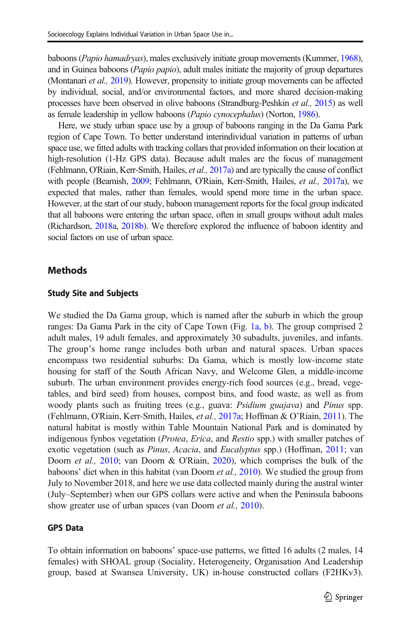baboons (Papio hamadryas), males exclusively initiate group movements (Kummer, [1968\)](#page-14-0), and in Guinea baboons (Papio papio), adult males initiate the majority of group departures (Montanari *et al.*, [2019\)](#page-15-0). However, propensity to initiate group movements can be affected by individual, social, and/or environmental factors, and more shared decision-making processes have been observed in olive baboons (Strandburg-Peshkin et al., [2015](#page-16-0)) as well as female leadership in yellow baboons (Papio cynocephalus) (Norton, [1986](#page-15-0)).

Here, we study urban space use by a group of baboons ranging in the Da Gama Park region of Cape Town. To better understand interindividual variation in patterns of urban space use, we fitted adults with tracking collars that provided information on their location at high-resolution (1-Hz GPS data). Because adult males are the focus of management (Fehlmann, O'Riain, Kerr-Smith, Hailes, et al., [2017a](#page-13-0)) and are typically the cause of conflict with people (Beamish, [2009;](#page-12-0) Fehlmann, O'Riain, Kerr-Smith, Hailes, et al., [2017a](#page-13-0)), we expected that males, rather than females, would spend more time in the urban space. However, at the start of our study, baboon management reports for the focal group indicated that all baboons were entering the urban space, often in small groups without adult males (Richardson, [2018a](#page-15-0), [2018b](#page-15-0)). We therefore explored the influence of baboon identity and social factors on use of urban space.

# **Methods**

# Study Site and Subjects

We studied the Da Gama group, which is named after the suburb in which the group ranges: Da Gama Park in the city of Cape Town (Fig. [1a, b](#page-3-0)). The group comprised 2 adult males, 19 adult females, and approximately 30 subadults, juveniles, and infants. The group's home range includes both urban and natural spaces. Urban spaces encompass two residential suburbs: Da Gama, which is mostly low-income state housing for staff of the South African Navy, and Welcome Glen, a middle-income suburb. The urban environment provides energy-rich food sources (e.g., bread, vegetables, and bird seed) from houses, compost bins, and food waste, as well as from woody plants such as fruiting trees (e.g., guava: *Psidium guajava*) and *Pinus* spp. (Fehlmann, O'Riain, Kerr-Smith, Hailes, et al., [2017a;](#page-13-0) Hoffman & O'Riain, [2011](#page-14-0)). The natural habitat is mostly within Table Mountain National Park and is dominated by indigenous fynbos vegetation (Protea, Erica, and Restio spp.) with smaller patches of exotic vegetation (such as *Pinus, Acacia,* and *Eucalyptus* spp.) (Hoffman, [2011](#page-14-0); van Doorn et al., [2010;](#page-16-0) van Doorn & O'Riain, [2020](#page-16-0)), which comprises the bulk of the baboons' diet when in this habitat (van Doorn et al., [2010\)](#page-16-0). We studied the group from July to November 2018, and here we use data collected mainly during the austral winter (July–September) when our GPS collars were active and when the Peninsula baboons show greater use of urban spaces (van Doorn et al., [2010\)](#page-16-0).

# GPS Data

To obtain information on baboons' space-use patterns, we fitted 16 adults (2 males, 14 females) with SHOAL group (Sociality, Heterogeneity, Organisation And Leadership group, based at Swansea University, UK) in-house constructed collars (F2HKv3).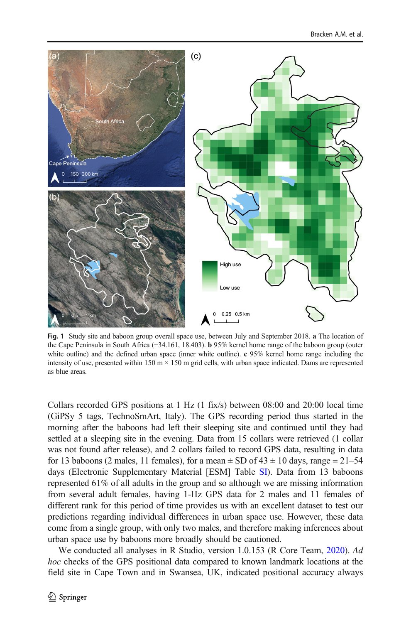<span id="page-3-0"></span>

Fig. 1 Study site and baboon group overall space use, between July and September 2018. a The location of the Cape Peninsula in South Africa (−34.161, 18.403). b 95% kernel home range of the baboon group (outer white outline) and the defined urban space (inner white outline). c 95% kernel home range including the intensity of use, presented within 150 m  $\times$  150 m grid cells, with urban space indicated. Dams are represented as blue areas.

Collars recorded GPS positions at 1 Hz (1 fix/s) between 08:00 and 20:00 local time (GiPSy 5 tags, TechnoSmArt, Italy). The GPS recording period thus started in the morning after the baboons had left their sleeping site and continued until they had settled at a sleeping site in the evening. Data from 15 collars were retrieved (1 collar was not found after release), and 2 collars failed to record GPS data, resulting in data for 13 baboons (2 males, 11 females), for a mean  $\pm$  SD of 43  $\pm$  10 days, range = 21–54 days (Electronic Supplementary Material [ESM] Table SI). Data from 13 baboons represented 61% of all adults in the group and so although we are missing information from several adult females, having 1-Hz GPS data for 2 males and 11 females of different rank for this period of time provides us with an excellent dataset to test our predictions regarding individual differences in urban space use. However, these data come from a single group, with only two males, and therefore making inferences about urban space use by baboons more broadly should be cautioned.

We conducted all analyses in R Studio, version 1.0.153 (R Core Team, [2020\)](#page-15-0). Ad hoc checks of the GPS positional data compared to known landmark locations at the field site in Cape Town and in Swansea, UK, indicated positional accuracy always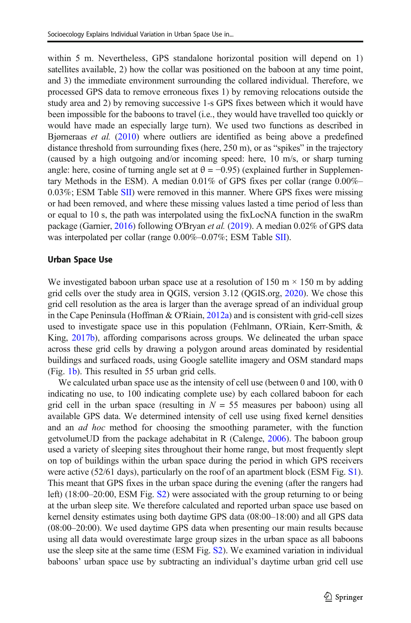within 5 m. Nevertheless, GPS standalone horizontal position will depend on 1) satellites available, 2) how the collar was positioned on the baboon at any time point, and 3) the immediate environment surrounding the collared individual. Therefore, we processed GPS data to remove erroneous fixes 1) by removing relocations outside the study area and 2) by removing successive 1-s GPS fixes between which it would have been impossible for the baboons to travel (i.e., they would have travelled too quickly or would have made an especially large turn). We used two functions as described in Bjørneraas et al. [\(2010\)](#page-12-0) where outliers are identified as being above a predefined distance threshold from surrounding fixes (here, 250 m), or as "spikes" in the trajectory (caused by a high outgoing and/or incoming speed: here, 10 m/s, or sharp turning angle: here, cosine of turning angle set at  $\theta = -0.95$ ) (explained further in Supplementary Methods in the ESM). A median 0.01% of GPS fixes per collar (range 0.00%– 0.03%; ESM Table SII) were removed in this manner. Where GPS fixes were missing or had been removed, and where these missing values lasted a time period of less than or equal to 10 s, the path was interpolated using the fixLocNA function in the swaRm package (Garnier, [2016\)](#page-14-0) following O'Bryan et al. ([2019](#page-15-0)). A median 0.02% of GPS data was interpolated per collar (range 0.00%–0.07%; ESM Table SII).

#### Urban Space Use

We investigated baboon urban space use at a resolution of 150 m  $\times$  150 m by adding grid cells over the study area in QGIS, version 3.12 (QGIS.org, [2020](#page-15-0)). We chose this grid cell resolution as the area is larger than the average spread of an individual group in the Cape Peninsula (Hoffman & O'Riain,  $2012a$ ) and is consistent with grid-cell sizes used to investigate space use in this population (Fehlmann, O'Riain, Kerr-Smith, & King, [2017b](#page-13-0)), affording comparisons across groups. We delineated the urban space across these grid cells by drawing a polygon around areas dominated by residential buildings and surfaced roads, using Google satellite imagery and OSM standard maps (Fig. [1b](#page-3-0)). This resulted in 55 urban grid cells.

We calculated urban space use as the intensity of cell use (between 0 and 100, with 0 indicating no use, to 100 indicating complete use) by each collared baboon for each grid cell in the urban space (resulting in  $N = 55$  measures per baboon) using all available GPS data. We determined intensity of cell use using fixed kernel densities and an *ad hoc* method for choosing the smoothing parameter, with the function getvolumeUD from the package adehabitat in R (Calenge, [2006](#page-13-0)). The baboon group used a variety of sleeping sites throughout their home range, but most frequently slept on top of buildings within the urban space during the period in which GPS receivers were active (52/61 days), particularly on the roof of an apartment block (ESM Fig. S1). This meant that GPS fixes in the urban space during the evening (after the rangers had left) (18:00–20:00, ESM Fig. S2) were associated with the group returning to or being at the urban sleep site. We therefore calculated and reported urban space use based on kernel density estimates using both daytime GPS data (08:00–18:00) and all GPS data (08:00–20:00). We used daytime GPS data when presenting our main results because using all data would overestimate large group sizes in the urban space as all baboons use the sleep site at the same time (ESM Fig. S2). We examined variation in individual baboons' urban space use by subtracting an individual's daytime urban grid cell use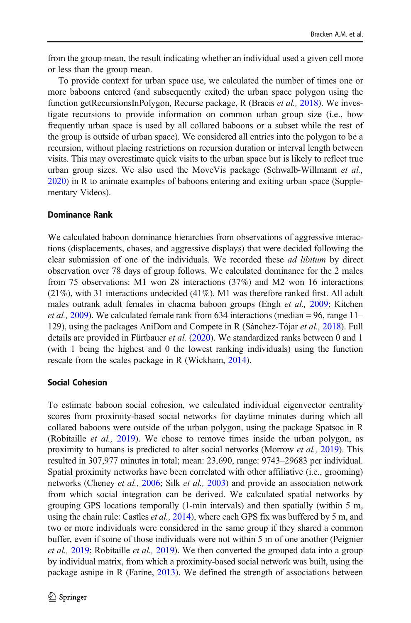from the group mean, the result indicating whether an individual used a given cell more or less than the group mean.

To provide context for urban space use, we calculated the number of times one or more baboons entered (and subsequently exited) the urban space polygon using the function getRecursionsInPolygon, Recurse package, R (Bracis et al., [2018](#page-13-0)). We investigate recursions to provide information on common urban group size (i.e., how frequently urban space is used by all collared baboons or a subset while the rest of the group is outside of urban space). We considered all entries into the polygon to be a recursion, without placing restrictions on recursion duration or interval length between visits. This may overestimate quick visits to the urban space but is likely to reflect true urban group sizes. We also used the MoveVis package (Schwalb-Willmann et al., [2020\)](#page-16-0) in R to animate examples of baboons entering and exiting urban space (Supplementary Videos).

#### Dominance Rank

We calculated baboon dominance hierarchies from observations of aggressive interactions (displacements, chases, and aggressive displays) that were decided following the clear submission of one of the individuals. We recorded these ad libitum by direct observation over 78 days of group follows. We calculated dominance for the 2 males from 75 observations: M1 won 28 interactions (37%) and M2 won 16 interactions (21%), with 31 interactions undecided (41%). M1 was therefore ranked first. All adult males outrank adult females in chacma baboon groups (Engh et al., [2009](#page-13-0); Kitchen *et al.*, [2009\)](#page-14-0). We calculated female rank from 634 interactions (median = 96, range  $11-$ 129), using the packages AniDom and Compete in R (Sánchez-Tójar et al., [2018\)](#page-16-0). Full details are provided in Fürtbauer et al. [\(2020](#page-13-0)). We standardized ranks between 0 and 1 (with 1 being the highest and 0 the lowest ranking individuals) using the function rescale from the scales package in R (Wickham, [2014\)](#page-16-0).

#### Social Cohesion

To estimate baboon social cohesion, we calculated individual eigenvector centrality scores from proximity-based social networks for daytime minutes during which all collared baboons were outside of the urban polygon, using the package Spatsoc in R (Robitaille et al., [2019\)](#page-15-0). We chose to remove times inside the urban polygon, as proximity to humans is predicted to alter social networks (Morrow *et al.*, [2019](#page-15-0)). This resulted in 307,977 minutes in total; mean: 23,690, range: 9743–29683 per individual. Spatial proximity networks have been correlated with other affiliative (i.e., grooming) networks (Cheney et al., [2006](#page-13-0); Silk et al., [2003](#page-16-0)) and provide an association network from which social integration can be derived. We calculated spatial networks by grouping GPS locations temporally (1-min intervals) and then spatially (within 5 m, using the chain rule: Castles *et al.*, [2014](#page-13-0)), where each GPS fix was buffered by 5 m, and two or more individuals were considered in the same group if they shared a common buffer, even if some of those individuals were not within 5 m of one another (Peignier et al., [2019;](#page-15-0) Robitaille et al., [2019\)](#page-15-0). We then converted the grouped data into a group by individual matrix, from which a proximity-based social network was built, using the package asnipe in R (Farine, [2013\)](#page-13-0). We defined the strength of associations between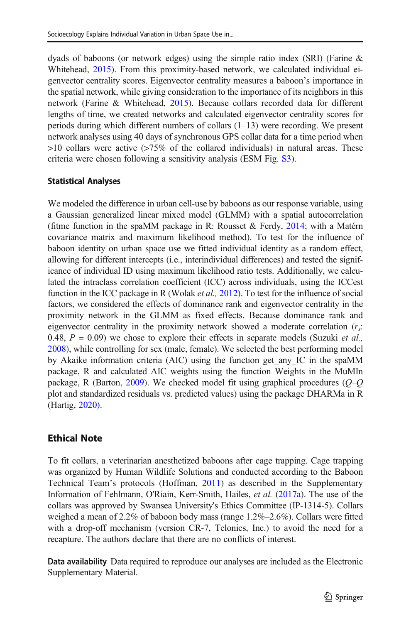dyads of baboons (or network edges) using the simple ratio index (SRI) (Farine & Whitehead, [2015\)](#page-13-0). From this proximity-based network, we calculated individual eigenvector centrality scores. Eigenvector centrality measures a baboon's importance in the spatial network, while giving consideration to the importance of its neighbors in this network (Farine & Whitehead, [2015\)](#page-13-0). Because collars recorded data for different lengths of time, we created networks and calculated eigenvector centrality scores for periods during which different numbers of collars (1–13) were recording. We present network analyses using 40 days of synchronous GPS collar data for a time period when  $>10$  collars were active ( $>75\%$  of the collared individuals) in natural areas. These criteria were chosen following a sensitivity analysis (ESM Fig. S3).

# Statistical Analyses

We modeled the difference in urban cell-use by baboons as our response variable, using a Gaussian generalized linear mixed model (GLMM) with a spatial autocorrelation (fitme function in the spaMM package in R: Rousset & Ferdy, [2014;](#page-16-0) with a Matérn covariance matrix and maximum likelihood method). To test for the influence of baboon identity on urban space use we fitted individual identity as a random effect, allowing for different intercepts (i.e., interindividual differences) and tested the significance of individual ID using maximum likelihood ratio tests. Additionally, we calculated the intraclass correlation coefficient (ICC) across individuals, using the ICCest function in the ICC package in R (Wolak et al., [2012](#page-16-0)). To test for the influence of social factors, we considered the effects of dominance rank and eigenvector centrality in the proximity network in the GLMM as fixed effects. Because dominance rank and eigenvector centrality in the proximity network showed a moderate correlation  $(r_c)$ : 0.48,  $P = 0.09$ ) we chose to explore their effects in separate models (Suzuki *et al.*, [2008\)](#page-16-0), while controlling for sex (male, female). We selected the best performing model by Akaike information criteria (AIC) using the function get\_any\_IC in the spaMM package, R and calculated AIC weights using the function Weights in the MuMIn package, R (Barton, [2009](#page-12-0)). We checked model fit using graphical procedures  $(O - O)$ plot and standardized residuals vs. predicted values) using the package DHARMa in R (Hartig, [2020\)](#page-14-0).

# Ethical Note

To fit collars, a veterinarian anesthetized baboons after cage trapping. Cage trapping was organized by Human Wildlife Solutions and conducted according to the Baboon Technical Team's protocols (Hoffman, [2011](#page-14-0)) as described in the Supplementary Information of Fehlmann, O'Riain, Kerr-Smith, Hailes, et al. ([2017a\)](#page-13-0). The use of the collars was approved by Swansea University's Ethics Committee (IP-1314-5). Collars weighed a mean of 2.2% of baboon body mass (range 1.2%–2.6%). Collars were fitted with a drop-off mechanism (version CR-7, Telonics, Inc.) to avoid the need for a recapture. The authors declare that there are no conflicts of interest.

Data availability Data required to reproduce our analyses are included as the Electronic Supplementary Material.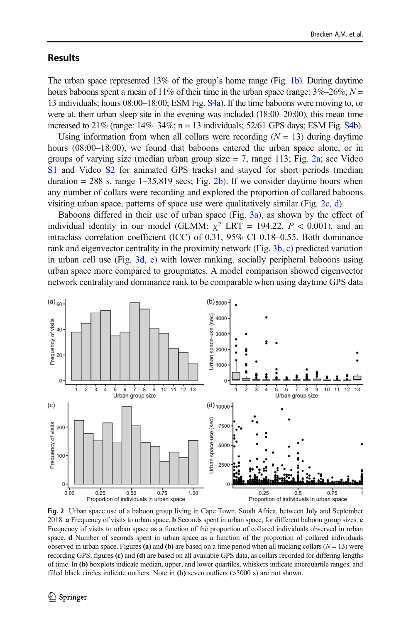# **Results**

The urban space represented 13% of the group's home range (Fig. [1b\)](#page-3-0). During daytime hours baboons spent a mean of 11% of their time in the urban space (range:  $3\%$ – $26\%$ ;  $N =$ 13 individuals; hours 08:00–18:00; ESM Fig. S4a). If the time baboons were moving to, or were at, their urban sleep site in the evening was included (18:00–20:00), this mean time increased to  $21\%$  (range:  $14\% - 34\%$ ; n = 13 individuals;  $52/61$  GPS days; ESM Fig. S4b).

Using information from when all collars were recording  $(N = 13)$  during daytime hours (08:00–18:00), we found that baboons entered the urban space alone, or in groups of varying size (median urban group size  $= 7$ , range 113; Fig. 2a; see Video S1 and Video S2 for animated GPS tracks) and stayed for short periods (median duration = 288 s, range  $1-35,819$  secs; Fig. 2b). If we consider daytime hours when any number of collars were recording and explored the proportion of collared baboons visiting urban space, patterns of space use were qualitatively similar (Fig. 2c, d).

Baboons differed in their use of urban space (Fig. [3a](#page-8-0)), as shown by the effect of individual identity in our model (GLMM:  $\chi^2$  LRT = 194.22,  $P < 0.001$ ), and an intraclass correlation coefficient (ICC) of 0.31, 95% CI 0.18–0.55. Both dominance rank and eigenvector centrality in the proximity network (Fig. [3b, c\)](#page-8-0) predicted variation in urban cell use (Fig. [3d, e](#page-8-0)) with lower ranking, socially peripheral baboons using urban space more compared to groupmates. A model comparison showed eigenvector network centrality and dominance rank to be comparable when using daytime GPS data



Fig. 2 Urban space use of a baboon group living in Cape Town, South Africa, between July and September 2018. a Frequency of visits to urban space. b Seconds spent in urban space, for different baboon group sizes. c Frequency of visits to urban space as a function of the proportion of collared individuals observed in urban space. d Number of seconds spent in urban space as a function of the proportion of collared individuals observed in urban space. Figures (a) and (b) are based on a time period when all tracking collars  $(N = 13)$  were recording GPS; figures (c) and (d) are based on all available GPS data, as collars recorded for differing lengths of time. In (b) boxplots indicate median, upper, and lower quartiles, whiskers indicate interquartile ranges, and filled black circles indicate outliers. Note in (b) seven outliers (>5000 s) are not shown.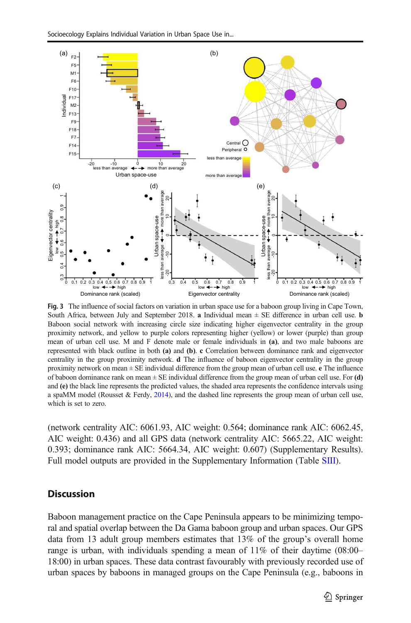<span id="page-8-0"></span>

Fig. 3 The influence of social factors on variation in urban space use for a baboon group living in Cape Town, South Africa, between July and September 2018. a Individual mean  $\pm$  SE difference in urban cell use. **b** Baboon social network with increasing circle size indicating higher eigenvector centrality in the group proximity network, and yellow to purple colors representing higher (yellow) or lower (purple) than group mean of urban cell use. M and F denote male or female individuals in (a), and two male baboons are represented with black outline in both (a) and (b). c Correlation between dominance rank and eigenvector centrality in the group proximity network. d The influence of baboon eigenvector centrality in the group proximity network on mean ± SE individual difference from the group mean of urban cell use. e The influence of baboon dominance rank on mean  $\pm$  SE individual difference from the group mean of urban cell use. For (d) and (e) the black line represents the predicted values, the shaded area represents the confidence intervals using a spaMM model (Rousset & Ferdy, [2014](#page-16-0)), and the dashed line represents the group mean of urban cell use, which is set to zero.

(network centrality AIC: 6061.93, AIC weight: 0.564; dominance rank AIC: 6062.45, AIC weight: 0.436) and all GPS data (network centrality AIC: 5665.22, AIC weight: 0.393; dominance rank AIC: 5664.34, AIC weight: 0.607) (Supplementary Results). Full model outputs are provided in the Supplementary Information (Table SIII).

#### **Discussion**

Baboon management practice on the Cape Peninsula appears to be minimizing temporal and spatial overlap between the Da Gama baboon group and urban spaces. Our GPS data from 13 adult group members estimates that 13% of the group's overall home range is urban, with individuals spending a mean of 11% of their daytime (08:00– 18:00) in urban spaces. These data contrast favourably with previously recorded use of urban spaces by baboons in managed groups on the Cape Peninsula (e.g., baboons in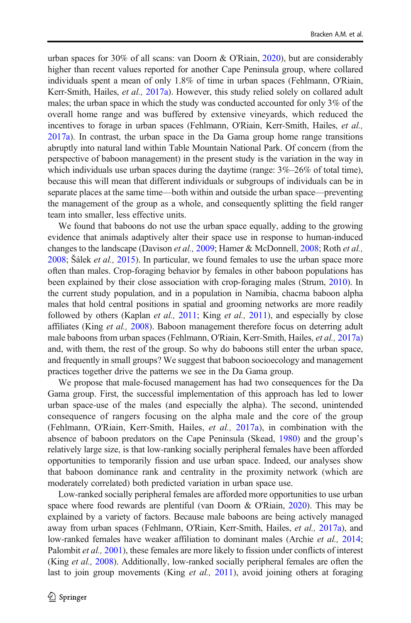urban spaces for 30% of all scans: van Doorn & O'Riain, [2020](#page-16-0)), but are considerably higher than recent values reported for another Cape Peninsula group, where collared individuals spent a mean of only 1.8% of time in urban spaces (Fehlmann, O'Riain, Kerr-Smith, Hailes, et al., [2017a\)](#page-13-0). However, this study relied solely on collared adult males; the urban space in which the study was conducted accounted for only 3% of the overall home range and was buffered by extensive vineyards, which reduced the incentives to forage in urban spaces (Fehlmann, O'Riain, Kerr-Smith, Hailes, et al., [2017a\)](#page-13-0). In contrast, the urban space in the Da Gama group home range transitions abruptly into natural land within Table Mountain National Park. Of concern (from the perspective of baboon management) in the present study is the variation in the way in which individuals use urban spaces during the daytime (range:  $3\%-26\%$  of total time), because this will mean that different individuals or subgroups of individuals can be in separate places at the same time—both within and outside the urban space—preventing the management of the group as a whole, and consequently splitting the field ranger team into smaller, less effective units.

We found that baboons do not use the urban space equally, adding to the growing evidence that animals adaptively alter their space use in response to human-induced changes to the landscape (Davison et al., [2009](#page-13-0); Hamer & McDonnell, [2008;](#page-14-0) Roth et al., [2008;](#page-16-0) Šálek *et al.*, [2015\)](#page-16-0). In particular, we found females to use the urban space more often than males. Crop-foraging behavior by females in other baboon populations has been explained by their close association with crop-foraging males (Strum, [2010](#page-16-0)). In the current study population, and in a population in Namibia, chacma baboon alpha males that hold central positions in spatial and grooming networks are more readily followed by others (Kaplan *et al.*, [2011;](#page-14-0) King *et al.*, [2011](#page-14-0)), and especially by close affiliates (King et al., [2008](#page-14-0)). Baboon management therefore focus on deterring adult male baboons from urban spaces (Fehlmann, O'Riain, Kerr-Smith, Hailes, et al., [2017a](#page-13-0)) and, with them, the rest of the group. So why do baboons still enter the urban space, and frequently in small groups? We suggest that baboon socioecology and management practices together drive the patterns we see in the Da Gama group.

We propose that male-focused management has had two consequences for the Da Gama group. First, the successful implementation of this approach has led to lower urban space-use of the males (and especially the alpha). The second, unintended consequence of rangers focusing on the alpha male and the core of the group (Fehlmann, O'Riain, Kerr-Smith, Hailes, et al., [2017a\)](#page-13-0), in combination with the absence of baboon predators on the Cape Peninsula (Skead, [1980\)](#page-16-0) and the group's relatively large size, is that low-ranking socially peripheral females have been afforded opportunities to temporarily fission and use urban space. Indeed, our analyses show that baboon dominance rank and centrality in the proximity network (which are moderately correlated) both predicted variation in urban space use.

Low-ranked socially peripheral females are afforded more opportunities to use urban space where food rewards are plentiful (van Doorn & O'Riain, [2020](#page-16-0)). This may be explained by a variety of factors. Because male baboons are being actively managed away from urban spaces (Fehlmann, O'Riain, Kerr-Smith, Hailes, et al., [2017a](#page-13-0)), and low-ranked females have weaker affiliation to dominant males (Archie *et al.*, [2014;](#page-12-0) Palombit *et al.*, [2001](#page-15-0)), these females are more likely to fission under conflicts of interest (King *et al.*, [2008](#page-14-0)). Additionally, low-ranked socially peripheral females are often the last to join group movements (King *et al.*, [2011](#page-14-0)), avoid joining others at foraging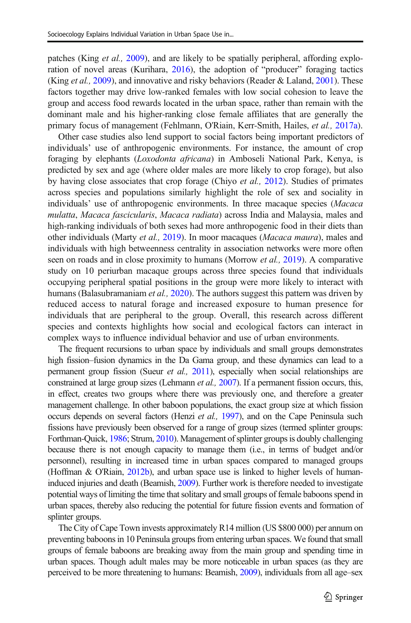patches (King et al., [2009](#page-14-0)), and are likely to be spatially peripheral, affording explo-ration of novel areas (Kurihara, [2016](#page-14-0)), the adoption of "producer" foraging tactics (King *et al.*, [2009](#page-14-0)), and innovative and risky behaviors (Reader & Laland, [2001](#page-15-0)). These factors together may drive low-ranked females with low social cohesion to leave the group and access food rewards located in the urban space, rather than remain with the dominant male and his higher-ranking close female affiliates that are generally the primary focus of management (Fehlmann, O'Riain, Kerr-Smith, Hailes, et al., [2017a](#page-13-0)).

Other case studies also lend support to social factors being important predictors of individuals' use of anthropogenic environments. For instance, the amount of crop foraging by elephants (Loxodonta africana) in Amboseli National Park, Kenya, is predicted by sex and age (where older males are more likely to crop forage), but also by having close associates that crop forage (Chiyo et al., [2012\)](#page-13-0). Studies of primates across species and populations similarly highlight the role of sex and sociality in individuals' use of anthropogenic environments. In three macaque species (Macaca mulatta, Macaca fascicularis, Macaca radiata) across India and Malaysia, males and high-ranking individuals of both sexes had more anthropogenic food in their diets than other individuals (Marty et al., [2019\)](#page-15-0). In moor macaques (Macaca maura), males and individuals with high betweenness centrality in association networks were more often seen on roads and in close proximity to humans (Morrow et al., [2019\)](#page-15-0). A comparative study on 10 periurban macaque groups across three species found that individuals occupying peripheral spatial positions in the group were more likely to interact with humans (Balasubramaniam et al., [2020](#page-12-0)). The authors suggest this pattern was driven by reduced access to natural forage and increased exposure to human presence for individuals that are peripheral to the group. Overall, this research across different species and contexts highlights how social and ecological factors can interact in complex ways to influence individual behavior and use of urban environments.

The frequent recursions to urban space by individuals and small groups demonstrates high fission–fusion dynamics in the Da Gama group, and these dynamics can lead to a permanent group fission (Sueur et al., [2011](#page-16-0)), especially when social relationships are constrained at large group sizes (Lehmann et al., [2007\)](#page-14-0). If a permanent fission occurs, this, in effect, creates two groups where there was previously one, and therefore a greater management challenge. In other baboon populations, the exact group size at which fission occurs depends on several factors (Henzi et al., [1997\)](#page-14-0), and on the Cape Peninsula such fissions have previously been observed for a range of group sizes (termed splinter groups: Forthman-Quick, [1986;](#page-13-0) Strum, [2010\)](#page-16-0). Management of splinter groups is doubly challenging because there is not enough capacity to manage them (i.e., in terms of budget and/or personnel), resulting in increased time in urban spaces compared to managed groups (Hoffman & O'Riain, [2012b\)](#page-14-0), and urban space use is linked to higher levels of humaninduced injuries and death (Beamish, [2009\)](#page-12-0). Further work is therefore needed to investigate potential ways of limiting the time that solitary and small groups of female baboons spend in urban spaces, thereby also reducing the potential for future fission events and formation of splinter groups.

The City of Cape Town invests approximately R14 million (US \$800 000) per annum on preventing baboons in 10 Peninsula groups from entering urban spaces. We found that small groups of female baboons are breaking away from the main group and spending time in urban spaces. Though adult males may be more noticeable in urban spaces (as they are perceived to be more threatening to humans: Beamish, [2009](#page-12-0)), individuals from all age–sex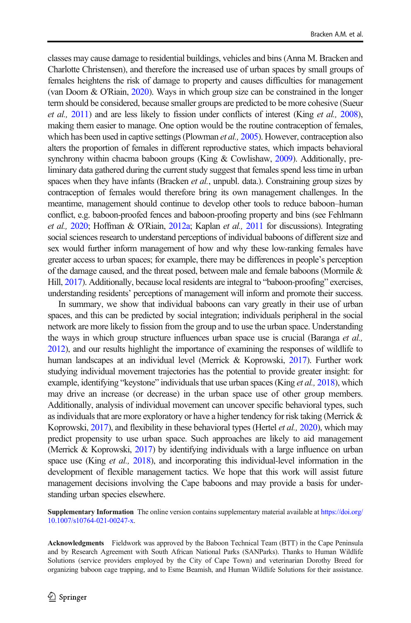classes may cause damage to residential buildings, vehicles and bins (Anna M. Bracken and Charlotte Christensen), and therefore the increased use of urban spaces by small groups of females heightens the risk of damage to property and causes difficulties for management (van Doorn & O'Riain, [2020](#page-16-0)). Ways in which group size can be constrained in the longer term should be considered, because smaller groups are predicted to be more cohesive (Sueur et al., [2011\)](#page-16-0) and are less likely to fission under conflicts of interest (King et al., [2008\)](#page-14-0), making them easier to manage. One option would be the routine contraception of females, which has been used in captive settings (Plowman *et al.*, [2005](#page-15-0)). However, contraception also alters the proportion of females in different reproductive states, which impacts behavioral synchrony within chacma baboon groups (King & Cowlishaw, [2009](#page-14-0)). Additionally, preliminary data gathered during the current study suggest that females spend less time in urban spaces when they have infants (Bracken *et al.*, unpubl. data.). Constraining group sizes by contraception of females would therefore bring its own management challenges. In the meantime, management should continue to develop other tools to reduce baboon–human conflict, e.g. baboon-proofed fences and baboon-proofing property and bins (see Fehlmann et al., [2020;](#page-13-0) Hoffman & O'Riain, [2012a](#page-14-0); Kaplan et al., [2011](#page-14-0) for discussions). Integrating social sciences research to understand perceptions of individual baboons of different size and sex would further inform management of how and why these low-ranking females have greater access to urban spaces; for example, there may be differences in people's perception of the damage caused, and the threat posed, between male and female baboons (Mormile & Hill, [2017\)](#page-15-0). Additionally, because local residents are integral to "baboon-proofing" exercises, understanding residents' perceptions of management will inform and promote their success.

In summary, we show that individual baboons can vary greatly in their use of urban spaces, and this can be predicted by social integration; individuals peripheral in the social network are more likely to fission from the group and to use the urban space. Understanding the ways in which group structure influences urban space use is crucial (Baranga *et al.*, [2012\)](#page-12-0), and our results highlight the importance of examining the responses of wildlife to human landscapes at an individual level (Merrick & Koprowski, [2017](#page-15-0)). Further work studying individual movement trajectories has the potential to provide greater insight: for example, identifying "keystone" individuals that use urban spaces (King *et al.*, [2018](#page-14-0)), which may drive an increase (or decrease) in the urban space use of other group members. Additionally, analysis of individual movement can uncover specific behavioral types, such as individuals that are more exploratory or have a higher tendency for risk taking (Merrick & Koprowski, [2017\)](#page-15-0), and flexibility in these behavioral types (Hertel *et al.*, [2020](#page-14-0)), which may predict propensity to use urban space. Such approaches are likely to aid management (Merrick & Koprowski, [2017\)](#page-15-0) by identifying individuals with a large influence on urban space use (King *et al.*, [2018](#page-14-0)), and incorporating this individual-level information in the development of flexible management tactics. We hope that this work will assist future management decisions involving the Cape baboons and may provide a basis for understanding urban species elsewhere.

Supplementary Information The online version contains supplementary material available at [https://doi.org/](https://doi.org/10.1007/s10764-021-00247-x) [10.1007/s10764-021-00247-x.](https://doi.org/10.1007/s10764-021-00247-x)

Acknowledgments Fieldwork was approved by the Baboon Technical Team (BTT) in the Cape Peninsula and by Research Agreement with South African National Parks (SANParks). Thanks to Human Wildlife Solutions (service providers employed by the City of Cape Town) and veterinarian Dorothy Breed for organizing baboon cage trapping, and to Esme Beamish, and Human Wildlife Solutions for their assistance.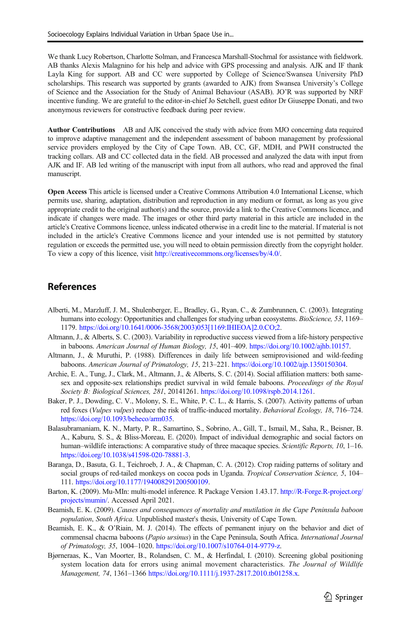<span id="page-12-0"></span>We thank Lucy Robertson, Charlotte Solman, and Francesca Marshall-Stochmal for assistance with fieldwork. AB thanks Alexis Malagnino for his help and advice with GPS processing and analysis. AJK and IF thank Layla King for support. AB and CC were supported by College of Science/Swansea University PhD scholarships. This research was supported by grants (awarded to AJK) from Swansea University's College of Science and the Association for the Study of Animal Behaviour (ASAB). JO'R was supported by NRF incentive funding. We are grateful to the editor-in-chief Jo Setchell, guest editor Dr Giuseppe Donati, and two anonymous reviewers for constructive feedback during peer review.

Author Contributions AB and AJK conceived the study with advice from MJO concerning data required to improve adaptive management and the independent assessment of baboon management by professional service providers employed by the City of Cape Town. AB, CC, GF, MDH, and PWH constructed the tracking collars. AB and CC collected data in the field. AB processed and analyzed the data with input from AJK and IF. AB led writing of the manuscript with input from all authors, who read and approved the final manuscript.

Open Access This article is licensed under a Creative Commons Attribution 4.0 International License, which permits use, sharing, adaptation, distribution and reproduction in any medium or format, as long as you give appropriate credit to the original author(s) and the source, provide a link to the Creative Commons licence, and indicate if changes were made. The images or other third party material in this article are included in the article's Creative Commons licence, unless indicated otherwise in a credit line to the material. If material is not included in the article's Creative Commons licence and your intended use is not permitted by statutory regulation or exceeds the permitted use, you will need to obtain permission directly from the copyright holder. To view a copy of this licence, visit <http://creativecommons.org/licenses/by/4.0/>.

# References

- Alberti, M., Marzluff, J. M., Shulenberger, E., Bradley, G., Ryan, C., & Zumbrunnen, C. (2003). Integrating humans into ecology: Opportunities and challenges for studying urban ecosystems. BioScience, 53, 1169– 1179. [https://doi.org/10.1641/0006-3568\(2003\)053\[1169:IHIEOA\]2.0.CO;2.](https://doi.org/10.1641/0006-3568(2003)053<1169:IHIEOA>2.0.CO;2)
- Altmann, J., & Alberts, S. C. (2003). Variability in reproductive success viewed from a life-history perspective in baboons. American Journal of Human Biology, 15, 401–409. <https://doi.org/10.1002/ajhb.10157>.
- Altmann, J., & Muruthi, P. (1988). Differences in daily life between semiprovisioned and wild-feeding baboons. American Journal of Primatology, 15, 213–221. [https://doi.org/10.1002/ajp.1350150304.](https://doi.org/10.1002/ajp.1350150304)
- Archie, E. A., Tung, J., Clark, M., Altmann, J., & Alberts, S. C. (2014). Social affiliation matters: both samesex and opposite-sex relationships predict survival in wild female baboons. Proceedings of the Royal Society B: Biological Sciences, 281, 20141261. [https://doi.org/10.1098/rspb.2014.1261.](https://doi.org/10.1098/rspb.2014.1261)
- Baker, P. J., Dowding, C. V., Molony, S. E., White, P. C. L., & Harris, S. (2007). Activity patterns of urban red foxes (Vulpes vulpes) reduce the risk of traffic-induced mortality. Behavioral Ecology, 18, 716–724. <https://doi.org/10.1093/beheco/arm035>.
- Balasubramaniam, K. N., Marty, P. R., Samartino, S., Sobrino, A., Gill, T., Ismail, M., Saha, R., Beisner, B. A., Kaburu, S. S., & Bliss-Moreau, E. (2020). Impact of individual demographic and social factors on human–wildlife interactions: A comparative study of three macaque species. Scientific Reports, 10, 1–16. [https://doi.org/10.1038/s41598-020-78881-3.](https://doi.org/10.1038/s41598-020-78881-3)
- Baranga, D., Basuta, G. I., Teichroeb, J. A., & Chapman, C. A. (2012). Crop raiding patterns of solitary and social groups of red-tailed monkeys on cocoa pods in Uganda. Tropical Conservation Science, 5, 104– 111. [https://doi.org/10.1177/194008291200500109.](https://doi.org/10.1177/194008291200500109)
- Barton, K. (2009). Mu-MIn: multi-model inference. R Package Version 1.43.17. [http://R-Forge.R-project.org/](http://r-forge.r-project.org/projects/mumin/) [projects/mumin/.](http://r-forge.r-project.org/projects/mumin/) Accessed April 2021.
- Beamish, E. K. (2009). Causes and consequences of mortality and mutilation in the Cape Peninsula baboon population, South Africa. Unpublished master's thesis, University of Cape Town.
- Beamish, E. K., & O'Riain, M. J. (2014). The effects of permanent injury on the behavior and diet of commensal chacma baboons (Papio ursinus) in the Cape Peninsula, South Africa. International Journal of Primatology, 35, 1004–1020. <https://doi.org/10.1007/s10764-014-9779-z>.
- Bjørneraas, K., Van Moorter, B., Rolandsen, C. M., & Herfindal, I. (2010). Screening global positioning system location data for errors using animal movement characteristics. The Journal of Wildlife Management, 74, 1361–1366 [https://doi.org/10.1111/j.1937-2817.2010.tb01258.x.](https://doi.org/10.1111/j.1937-2817.2010.tb01258.x)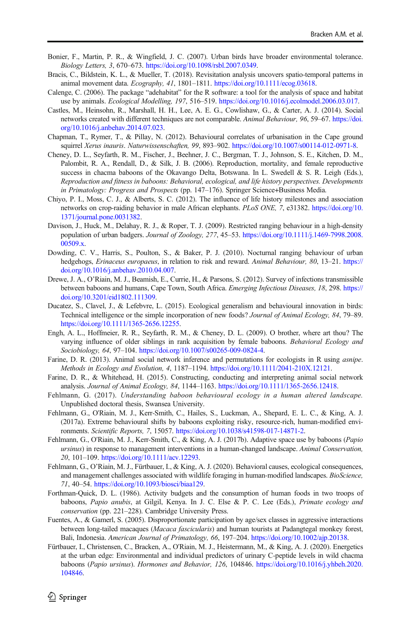- <span id="page-13-0"></span>Bonier, F., Martin, P. R., & Wingfield, J. C. (2007). Urban birds have broader environmental tolerance. Biology Letters, 3, 670–673. <https://doi.org/10.1098/rsbl.2007.0349>.
- Bracis, C., Bildstein, K. L., & Mueller, T. (2018). Revisitation analysis uncovers spatio-temporal patterns in animal movement data. Ecography, 41, 1801–1811. <https://doi.org/10.1111/ecog.03618>.
- Calenge, C. (2006). The package "adehabitat" for the R software: a tool for the analysis of space and habitat use by animals. Ecological Modelling, 197, 516–519. [https://doi.org/10.1016/j.ecolmodel.2006.03.017.](https://doi.org/10.1016/j.ecolmodel.2006.03.017)
- Castles, M., Heinsohn, R., Marshall, H. H., Lee, A. E. G., Cowlishaw, G., & Carter, A. J. (2014). Social networks created with different techniques are not comparable. Animal Behaviour, 96, 59–67. [https://doi.](https://doi.org/10.1016/j.anbehav.2014.07.023) [org/10.1016/j.anbehav.2014.07.023.](https://doi.org/10.1016/j.anbehav.2014.07.023)
- Chapman, T., Rymer, T., & Pillay, N. (2012). Behavioural correlates of urbanisation in the Cape ground squirrel Xerus inauris. Naturwissenschaften, 99, 893-902. <https://doi.org/10.1007/s00114-012-0971-8>.
- Cheney, D. L., Seyfarth, R. M., Fischer, J., Beehner, J. C., Bergman, T. J., Johnson, S. E., Kitchen, D. M., Palombit, R. A., Rendall, D., & Silk, J. B. (2006). Reproduction, mortality, and female reproductive success in chacma baboons of the Okavango Delta, Botswana. In L. Swedell & S. R. Leigh (Eds.), Reproduction and fitness in baboons: Behavioral, ecological, and life history perspectives. Developments in Primatology: Progress and Prospects (pp. 147–176). Springer Science+Business Media.
- Chiyo, P. I., Moss, C. J., & Alberts, S. C. (2012). The influence of life history milestones and association networks on crop-raiding behavior in male African elephants. PLoS ONE, 7, e31382. [https://doi.org/10.](https://doi.org/10.1371/journal.pone.0031382) [1371/journal.pone.0031382](https://doi.org/10.1371/journal.pone.0031382).
- Davison, J., Huck, M., Delahay, R. J., & Roper, T. J. (2009). Restricted ranging behaviour in a high-density population of urban badgers. Journal of Zoology, 277, 45–53. [https://doi.org/10.1111/j.1469-7998.2008.](https://doi.org/10.1111/j.1469-7998.2008.00509.x) [00509.x](https://doi.org/10.1111/j.1469-7998.2008.00509.x).
- Dowding, C. V., Harris, S., Poulton, S., & Baker, P. J. (2010). Nocturnal ranging behaviour of urban hedgehogs, *Erinaceus europaeus*, in relation to risk and reward. Animal Behaviour, 80, 13–21. [https://](https://doi.org/10.1016/j.anbehav.2010.04.007) [doi.org/10.1016/j.anbehav.2010.04.007](https://doi.org/10.1016/j.anbehav.2010.04.007).
- Drewe, J. A., O'Riain, M. J., Beamish, E., Currie, H., & Parsons, S. (2012). Survey of infections transmissible between baboons and humans, Cape Town, South Africa. Emerging Infectious Diseases, 18, 298. [https://](https://doi.org/10.3201/eid1802.111309) [doi.org/10.3201/eid1802.111309](https://doi.org/10.3201/eid1802.111309).
- Ducatez, S., Clavel, J., & Lefebvre, L. (2015). Ecological generalism and behavioural innovation in birds: Technical intelligence or the simple incorporation of new foods? Journal of Animal Ecology, 84, 79–89. [https://doi.org/10.1111/1365-2656.12255.](https://doi.org/10.1111/1365-2656.12255)
- Engh, A. L., Hoffmeier, R. R., Seyfarth, R. M., & Cheney, D. L. (2009). O brother, where art thou? The varying influence of older siblings in rank acquisition by female baboons. Behavioral Ecology and Sociobiology, 64, 97–104. [https://doi.org/10.1007/s00265-009-0824-4.](https://doi.org/10.1007/s00265-009-0824-4)
- Farine, D. R. (2013). Animal social network inference and permutations for ecologists in R using *asnipe*. Methods in Ecology and Evolution, 4, 1187–1194. [https://doi.org/10.1111/2041-210X.12121.](https://doi.org/10.1111/2041-210X.12121)
- Farine, D. R., & Whitehead, H. (2015). Constructing, conducting and interpreting animal social network analysis. Journal of Animal Ecology, 84, 1144–1163. <https://doi.org/10.1111/1365-2656.12418>.
- Fehlmann, G. (2017). Understanding baboon behavioural ecology in a human altered landscape. Unpublished doctoral thesis, Swansea University.
- Fehlmann, G., O'Riain, M. J., Kerr-Smith, C., Hailes, S., Luckman, A., Shepard, E. L. C., & King, A. J. (2017a). Extreme behavioural shifts by baboons exploiting risky, resource-rich, human-modified environments. Scientific Reports, 7, 15057. [https://doi.org/10.1038/s41598-017-14871-2.](https://doi.org/10.1038/s41598-017-14871-2)
- Fehlmann, G., O'Riain, M. J., Kerr-Smith, C., & King, A. J. (2017b). Adaptive space use by baboons (Papio ursinus) in response to management interventions in a human-changed landscape. Animal Conservation, 20, 101–109. <https://doi.org/10.1111/acv.12293>.
- Fehlmann, G., O'Riain, M. J., Fürtbauer, I., & King, A. J. (2020). Behavioral causes, ecological consequences, and management challenges associated with wildlife foraging in human-modified landscapes. BioScience, 71, 40–54. <https://doi.org/10.1093/biosci/biaa129>.
- Forthman-Quick, D. L. (1986). Activity budgets and the consumption of human foods in two troops of baboons, Papio anubis, at Gilgil, Kenya. In J. C. Else & P. C. Lee (Eds.), Primate ecology and conservation (pp. 221–228). Cambridge University Press.
- Fuentes, A., & Gamerl, S. (2005). Disproportionate participation by age/sex classes in aggressive interactions between long-tailed macaques (Macaca fascicularis) and human tourists at Padangtegal monkey forest, Bali, Indonesia. American Journal of Primatology, 66, 197–204. <https://doi.org/10.1002/ajp.20138>.
- Fürtbauer, I., Christensen, C., Bracken, A., O'Riain, M. J., Heistermann, M., & King, A. J. (2020). Energetics at the urban edge: Environmental and individual predictors of urinary C-peptide levels in wild chacma baboons (Papio ursinus). Hormones and Behavior, 126, 104846. [https://doi.org/10.1016/j.yhbeh.2020.](https://doi.org/10.1016/j.yhbeh.2020.104846) [104846](https://doi.org/10.1016/j.yhbeh.2020.104846).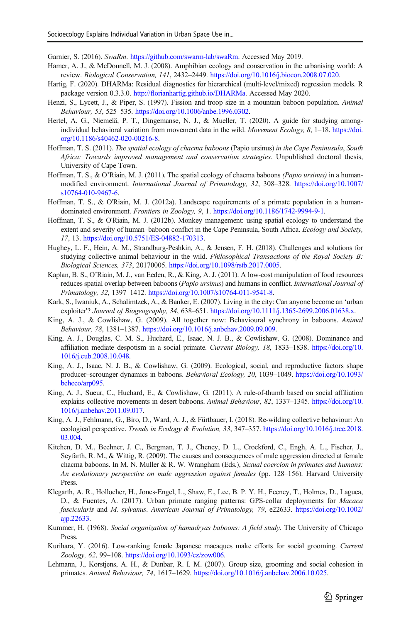<span id="page-14-0"></span>Garnier, S. (2016). SwaRm. [https://github.com/swarm-lab/swaRm.](https://github.com/swarm-lab/swaRm) Accessed May 2019.

- Hamer, A. J., & McDonnell, M. J. (2008). Amphibian ecology and conservation in the urbanising world: A review. Biological Conservation, 141, 2432–2449. <https://doi.org/10.1016/j.biocon.2008.07.020>.
- Hartig, F. (2020). DHARMa: Residual diagnostics for hierarchical (multi-level/mixed) regression models. R package version 0.3.3.0. <http://florianhartig.github.io/DHARMa>. Accessed May 2020.
- Henzi, S., Lycett, J., & Piper, S. (1997). Fission and troop size in a mountain baboon population. Animal Behaviour, 53, 525–535. <https://doi.org/10.1006/anbe.1996.0302>.
- Hertel, A. G., Niemelä, P. T., Dingemanse, N. J., & Mueller, T. (2020). A guide for studying amongindividual behavioral variation from movement data in the wild. Movement Ecology, 8, 1–18. [https://doi.](https://doi.org/10.1186/s40462-020-00216-8) [org/10.1186/s40462-020-00216-8](https://doi.org/10.1186/s40462-020-00216-8).
- Hoffman, T. S. (2011). The spatial ecology of chacma baboons (Papio ursinus) in the Cape Peninusula, South Africa: Towards improved management and conservation strategies. Unpublished doctoral thesis, University of Cape Town.
- Hoffman, T. S., & O'Riain, M. J. (2011). The spatial ecology of chacma baboons (Papio ursinus) in a humanmodified environment. International Journal of Primatology, 32, 308–328. [https://doi.org/10.1007/](https://doi.org/10.1007/s10764-010-9467-6) [s10764-010-9467-6.](https://doi.org/10.1007/s10764-010-9467-6)
- Hoffman, T. S., & O'Riain, M. J. (2012a). Landscape requirements of a primate population in a humandominated environment. Frontiers in Zoology, 9, 1. <https://doi.org/10.1186/1742-9994-9-1>.
- Hoffman, T. S., & O'Riain, M. J. (2012b). Monkey management: using spatial ecology to understand the extent and severity of human–baboon conflict in the Cape Peninsula, South Africa. Ecology and Society, 17, 13. [https://doi.org/10.5751/ES-04882-170313.](https://doi.org/10.5751/ES-04882-170313)
- Hughey, L. F., Hein, A. M., Strandburg-Peshkin, A., & Jensen, F. H. (2018). Challenges and solutions for studying collective animal behaviour in the wild. Philosophical Transactions of the Royal Society B: Biological Sciences, 373, 20170005. <https://doi.org/10.1098/rstb.2017.0005>.
- Kaplan, B. S., O'Riain, M. J., van Eeden, R., & King, A. J. (2011). A low-cost manipulation of food resources reduces spatial overlap between baboons (Papio ursinus) and humans in conflict. International Journal of Primatology, 32, 1397–1412. [https://doi.org/10.1007/s10764-011-9541-8.](https://doi.org/10.1007/s10764-011-9541-8)
- Kark, S., Iwaniuk, A., Schalimtzek, A., & Banker, E. (2007). Living in the city: Can anyone become an 'urban exploiter'? Journal of Biogeography, 34, 638–651. [https://doi.org/10.1111/j.1365-2699.2006.01638.x.](https://doi.org/10.1111/j.1365-2699.2006.01638.x)
- King, A. J., & Cowlishaw, G. (2009). All together now: Behavioural synchrony in baboons. Animal Behaviour, 78, 1381–1387. [https://doi.org/10.1016/j.anbehav.2009.09.009.](https://doi.org/10.1016/j.anbehav.2009.09.009)
- King, A. J., Douglas, C. M. S., Huchard, E., Isaac, N. J. B., & Cowlishaw, G. (2008). Dominance and affiliation mediate despotism in a social primate. Current Biology, 18, 1833–1838. [https://doi.org/10.](https://doi.org/10.1016/j.cub.2008.10.048) [1016/j.cub.2008.10.048](https://doi.org/10.1016/j.cub.2008.10.048).
- King, A. J., Isaac, N. J. B., & Cowlishaw, G. (2009). Ecological, social, and reproductive factors shape producer–scrounger dynamics in baboons. Behavioral Ecology, 20, 1039–1049. [https://doi.org/10.1093/](https://doi.org/10.1093/beheco/arp095) [beheco/arp095](https://doi.org/10.1093/beheco/arp095).
- King, A. J., Sueur, C., Huchard, E., & Cowlishaw, G. (2011). A rule-of-thumb based on social affiliation explains collective movements in desert baboons. Animal Behaviour, 82, 1337–1345. [https://doi.org/10.](https://doi.org/10.1016/j.anbehav.2011.09.017) [1016/j.anbehav.2011.09.017.](https://doi.org/10.1016/j.anbehav.2011.09.017)
- King, A. J., Fehlmann, G., Biro, D., Ward, A. J., & Fürtbauer, I. (2018). Re-wilding collective behaviour: An ecological perspective. Trends in Ecology & Evolution, 33, 347–357. [https://doi.org/10.1016/j.tree.2018.](https://doi.org/10.1016/j.tree.2018.03.004) [03.004](https://doi.org/10.1016/j.tree.2018.03.004).
- Kitchen, D. M., Beehner, J. C., Bergman, T. J., Cheney, D. L., Crockford, C., Engh, A. L., Fischer, J., Seyfarth, R. M., & Wittig, R. (2009). The causes and consequences of male aggression directed at female chacma baboons. In M. N. Muller & R. W. Wrangham (Eds.), Sexual coercion in primates and humans: An evolutionary perspective on male aggression against females (pp. 128–156). Harvard University Press.
- Klegarth, A. R., Hollocher, H., Jones-Engel, L., Shaw, E., Lee, B. P. Y. H., Feeney, T., Holmes, D., Laguea, D., & Fuentes, A. (2017). Urban primate ranging patterns: GPS-collar deployments for Macaca fascicularis and M. sylvanus. American Journal of Primatology, 79, e22633. [https://doi.org/10.1002/](https://doi.org/10.1002/ajp.22633) [ajp.22633.](https://doi.org/10.1002/ajp.22633)
- Kummer, H. (1968). Social organization of hamadryas baboons: A field study. The University of Chicago Press.
- Kurihara, Y. (2016). Low-ranking female Japanese macaques make efforts for social grooming. Current Zoology, 62, 99–108. <https://doi.org/10.1093/cz/zow006>.
- Lehmann, J., Korstjens, A. H., & Dunbar, R. I. M. (2007). Group size, grooming and social cohesion in primates. Animal Behaviour, 74, 1617–1629. [https://doi.org/10.1016/j.anbehav.2006.10.025.](https://doi.org/10.1016/j.anbehav.2006.10.025)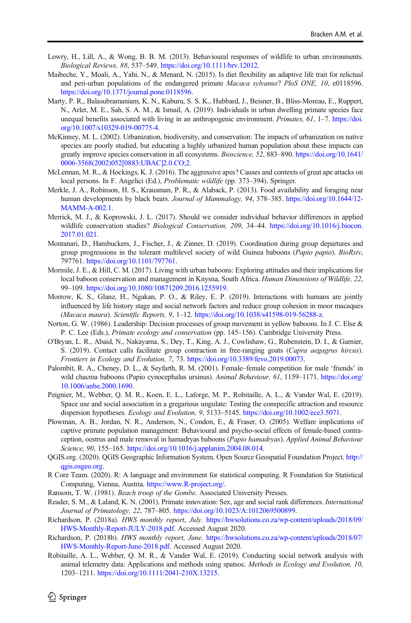- <span id="page-15-0"></span>Lowry, H., Lill, A., & Wong, B. B. M. (2013). Behavioural responses of wildlife to urban environments. Biological Reviews, 88, 537–549. <https://doi.org/10.1111/brv.12012>.
- Maibeche, Y., Moali, A., Yahi, N., & Menard, N. (2015). Is diet flexibility an adaptive life trait for relictual and peri-urban populations of the endangered primate Macaca sylvanus? PloS ONE, 10, e0118596. [https://doi.org/10.1371/journal.pone.0118596.](https://doi.org/10.1371/journal.pone.0118596)
- Marty, P. R., Balasubramaniam, K. N., Kaburu, S. S. K., Hubbard, J., Beisner, B., Bliss-Moreau, E., Ruppert, N., Arlet, M. E., Sah, S. A. M., & Ismail, A. (2019). Individuals in urban dwelling primate species face unequal benefits associated with living in an anthropogenic environment. Primates, 61, 1–7. [https://doi.](https://doi.org/10.1007/s10329-019-00775-4) [org/10.1007/s10329-019-00775-4](https://doi.org/10.1007/s10329-019-00775-4).
- McKinney, M. L. (2002). Urbanization, biodiversity, and conservation: The impacts of urbanization on native species are poorly studied, but educating a highly urbanized human population about these impacts can greatly improve species conservation in all ecosystems. Bioscience, 52, 883–890. [https://doi.org/10.1641/](https://doi.org/10.1641/0006-3568(2002)052<0883:UBAC>2.0.CO;2) [0006-3568\(2002\)052\[0883:UBAC\]2.0.CO;2.](https://doi.org/10.1641/0006-3568(2002)052<0883:UBAC>2.0.CO;2)
- McLennan, M. R., & Hockings, K. J. (2016). The aggressive apes? Causes and contexts of great ape attacks on local persons. In F. Angelici (Ed.), Problematic wildlife (pp. 373–394). Springer.
- Merkle, J. A., Robinson, H. S., Krausman, P. R., & Alaback, P. (2013). Food availability and foraging near human developments by black bears. Journal of Mammalogy, 94, 378–385. [https://doi.org/10.1644/12-](https://doi.org/10.1644/12-MAMM-A-002.1) [MAMM-A-002.1](https://doi.org/10.1644/12-MAMM-A-002.1).
- Merrick, M. J., & Koprowski, J. L. (2017). Should we consider individual behavior differences in applied wildlife conservation studies? Biological Conservation, 209, 34–44. [https://doi.org/10.1016/j.biocon.](https://doi.org/10.1016/j.biocon.2017.01.021) [2017.01.021.](https://doi.org/10.1016/j.biocon.2017.01.021)
- Montanari, D., Hambuckers, J., Fischer, J., & Zinner, D. (2019). Coordination during group departures and group progressions in the tolerant multilevel society of wild Guinea baboons (Papio papio). BioRxiv, 797761. [https://doi.org/10.1101/797761.](https://doi.org/10.1101/797761)
- Mormile, J. E., & Hill, C. M. (2017). Living with urban baboons: Exploring attitudes and their implications for local baboon conservation and management in Knysna, South Africa. *Human Dimensions of Wildlife*, 22, 99–109. <https://doi.org/10.1080/10871209.2016.1255919>.
- Morrow, K. S., Glanz, H., Ngakan, P. O., & Riley, E. P. (2019). Interactions with humans are jointly influenced by life history stage and social network factors and reduce group cohesion in moor macaques (Macaca maura). Scientific Reports, 9, 1–12. <https://doi.org/10.1038/s41598-019-56288-z>.
- Norton, G. W. (1986). Leadership: Decision processes of group movement in yellow baboons. In J. C. Else & P. C. Lee (Eds.), Primate ecology and conservation (pp. 145–156). Cambridge University Press.
- O'Bryan, L. R., Abaid, N., Nakayama, S., Dey, T., King, A. J., Cowlishaw, G., Rubenstein, D. I., & Garnier, S. (2019). Contact calls facilitate group contraction in free-ranging goats (Capra aegagrus hircus). Frontiers in Ecology and Evolution, 7, 73. [https://doi.org/10.3389/fevo.2019.00073.](https://doi.org/10.3389/fevo.2019.00073)
- Palombit, R. A., Cheney, D. L., & Seyfarth, R. M. (2001). Female–female competition for male 'friends' in wild chacma baboons (Papio cynocephalus ursinus). Animal Behaviour, 61, 1159–1171. [https://doi.org/](https://doi.org/10.1006/anbe.2000.1690) [10.1006/anbe.2000.1690](https://doi.org/10.1006/anbe.2000.1690).
- Peignier, M., Webber, Q. M. R., Koen, E. L., Laforge, M. P., Robitaille, A. L., & Vander Wal, E. (2019). Space use and social association in a gregarious ungulate: Testing the conspecific attraction and resource dispersion hypotheses. Ecology and Evolution, 9, 5133–5145. <https://doi.org/10.1002/ece3.5071>.
- Plowman, A. B., Jordan, N. R., Anderson, N., Condon, E., & Fraser, O. (2005). Welfare implications of captive primate population management: Behavioural and psycho-social effects of female-based contraception, oestrus and male removal in hamadryas baboons (Papio hamadryas). Applied Animal Behaviour Science, 90, 155–165. <https://doi.org/10.1016/j.applanim.2004.08.014>.
- QGIS.org. (2020). QGIS Geographic Information System. Open Source Geospatial Foundation Project. [http://](http://qgis.osgeo.org) [qgis.osgeo.org.](http://qgis.osgeo.org)
- R Core Team. (2020). R: A language and environment for statistical computing. R Foundation for Statistical Computing, Vienna, Austria. [https://www.R-project.org/.](https://www.r-project.org/)
- Ransom, T. W. (1981). Beach troop of the Gombe. Associated University Presses.
- Reader, S. M., & Laland, K. N. (2001). Primate innovation: Sex, age and social rank differences. International Journal of Primatology, 22, 787–805. [https://doi.org/10.1023/A:1012069500899.](https://doi.org/10.1023/A:1012069500899)
- Richardson, P. (2018a). HWS monthly report, July. [https://hwsolutions.co.za/wp-content/uploads/2018/09/](https://hwsolutions.co.za/wp-content/uploads/2018/09/HWS-Monthly-Report-JULY-2018.pdf) [HWS-Monthly-Report-JULY-2018.pdf.](https://hwsolutions.co.za/wp-content/uploads/2018/09/HWS-Monthly-Report-JULY-2018.pdf) Accessed August 2020.
- Richardson, P. (2018b). HWS monthly report, June. [https://hwsolutions.co.za/wp-content/uploads/2018/07/](https://hwsolutions.co.za/wp-content/uploads/2018/07/HWS-Monthly-Report-June-2018.pdf) [HWS-Monthly-Report-June-2018.pdf](https://hwsolutions.co.za/wp-content/uploads/2018/07/HWS-Monthly-Report-June-2018.pdf). Accessed August 2020.
- Robitaille, A. L., Webber, Q. M. R., & Vander Wal, E. (2019). Conducting social network analysis with animal telemetry data: Applications and methods using spatsoc. Methods in Ecology and Evolution, 10, 1203–1211. [https://doi.org/10.1111/2041-210X.13215.](https://doi.org/10.1111/2041-210X.13215)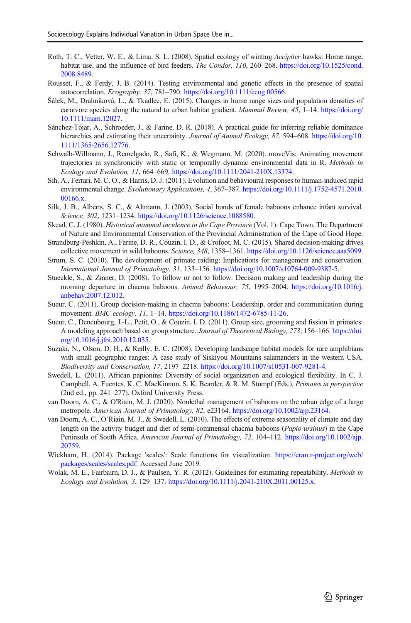- <span id="page-16-0"></span>Roth, T. C., Vetter, W. E., & Lima, S. L. (2008). Spatial ecology of winting *Accipiter* hawks: Home range, habitat use, and the influence of bird feeders. *The Condor*, 110, 260–268. [https://doi.org/10.1525/cond.](https://doi.org/10.1525/cond.2008.8489) [2008.8489.](https://doi.org/10.1525/cond.2008.8489)
- Rousset, F., & Ferdy, J. B. (2014). Testing environmental and genetic effects in the presence of spatial autocorrelation. Ecography, 37, 781–790. [https://doi.org/10.1111/ecog.00566.](https://doi.org/10.1111/ecog.00566)
- Šálek, M., Drahníková, L., & Tkadlec, E. (2015). Changes in home range sizes and population densities of carnivore species along the natural to urban habitat gradient. Mammal Review, 45, 1–14. [https://doi.org/](https://doi.org/10.1111/mam.12027) [10.1111/mam.12027.](https://doi.org/10.1111/mam.12027)
- Sánchez-Tójar, A., Schroeder, J., & Farine, D. R. (2018). A practical guide for inferring reliable dominance hierarchies and estimating their uncertainty. Journal of Animal Ecology, 87, 594–608. [https://doi.org/10.](https://doi.org/10.1111/1365-2656.12776) [1111/1365-2656.12776](https://doi.org/10.1111/1365-2656.12776).
- Schwalb-Willmann, J., Remelgado, R., Safi, K., & Wegmann, M. (2020). moveVis: Animating movement trajectories in synchronicity with static or temporally dynamic environmental data in R. Methods in Ecology and Evolution, 11, 664–669. <https://doi.org/10.1111/2041-210X.13374>.
- Sih, A., Ferrari, M. C. O., & Harris, D. J. (2011). Evolution and behavioural responses to human-induced rapid environmental change. Evolutionary Applications, 4, 367–387. [https://doi.org/10.1111/j.1752-4571.2010.](https://doi.org/10.1111/j.1752-4571.2010.00166.x) 00166 x
- Silk, J. B., Alberts, S. C., & Altmann, J. (2003). Social bonds of female baboons enhance infant survival. Science, 302, 1231–1234. <https://doi.org/10.1126/science.1088580>.
- Skead, C. J. (1980). Historical mammal incidence in the Cape Province (Vol. 1): Cape Town, The Department of Nature and Environmental Conservation of the Provincial Administration of the Cape of Good Hope.
- Strandburg-Peshkin, A., Farine, D. R., Couzin, I. D., & Crofoot, M. C. (2015). Shared decision-making drives collective movement in wild baboons. Science, 348, 1358–1361. <https://doi.org/10.1126/science.aaa5099>.
- Strum, S. C. (2010). The development of primate raiding: Implications for management and conservation. International Journal of Primatology, 31, 133–156. <https://doi.org/10.1007/s10764-009-9387-5>.
- Stueckle, S., & Zinner, D. (2008). To follow or not to follow: Decision making and leadership during the morning departure in chacma baboons. Animal Behaviour, 75, 1995–2004. [https://doi.org/10.1016/j.](https://doi.org/10.1016/j.anbehav.2007.12.012) [anbehav.2007.12.012](https://doi.org/10.1016/j.anbehav.2007.12.012).
- Sueur, C. (2011). Group decision-making in chacma baboons: Leadership, order and communication during movement. BMC ecology, 11, 1–14. <https://doi.org/10.1186/1472-6785-11-26>.
- Sueur, C., Deneubourg, J.-L., Petit, O., & Couzin, I. D. (2011). Group size, grooming and fission in primates: A modeling approach based on group structure. Journal of Theoretical Biology, 273, 156–166. [https://doi.](https://doi.org/10.1016/j.jtbi.2010.12.035) [org/10.1016/j.jtbi.2010.12.035.](https://doi.org/10.1016/j.jtbi.2010.12.035)
- Suzuki, N., Olson, D. H., & Reilly, E. C. (2008). Developing landscape habitat models for rare amphibians with small geographic ranges: A case study of Siskiyou Mountains salamanders in the western USA. Biodiversity and Conservation, 17, 2197–2218. [https://doi.org/10.1007/s10531-007-9281-4.](https://doi.org/10.1007/s10531-007-9281-4)
- Swedell, L. (2011). African papionins: Diversity of social organization and ecological flexibility. In C. J. Campbell, A. Fuentes, K. C. MacKinnon, S. K. Bearder, & R. M. Stumpf (Eds.), Primates in perspective (2nd ed., pp. 241–277). Oxford University Press.
- van Doorn, A. C., & O'Riain, M. J. (2020). Nonlethal management of baboons on the urban edge of a large metropole. American Journal of Primatology, 82, e23164. <https://doi.org/10.1002/ajp.23164>.
- van Doorn, A. C., O'Riain, M. J., & Swedell, L. (2010). The effects of extreme seasonality of climate and day length on the activity budget and diet of semi-commensal chacma baboons (Papio ursinus) in the Cape Peninsula of South Africa. American Journal of Primatology, 72, 104–112. [https://doi.org/10.1002/ajp.](https://doi.org/10.1002/ajp.20759) [20759](https://doi.org/10.1002/ajp.20759).
- Wickham, H. (2014). Package 'scales': Scale functions for visualization. [https://cran.r-project.org/web/](https://cran.r-project.org/web/packages/scales/scales.pdf) [packages/scales/scales.pdf](https://cran.r-project.org/web/packages/scales/scales.pdf). Accessed June 2019.
- Wolak, M. E., Fairbairn, D. J., & Paulsen, Y. R. (2012). Guidelines for estimating repeatability. Methods in Ecology and Evolution, 3, 129–137. [https://doi.org/10.1111/j.2041-210X.2011.00125.x.](https://doi.org/10.1111/j.2041-210X.2011.00125.x)